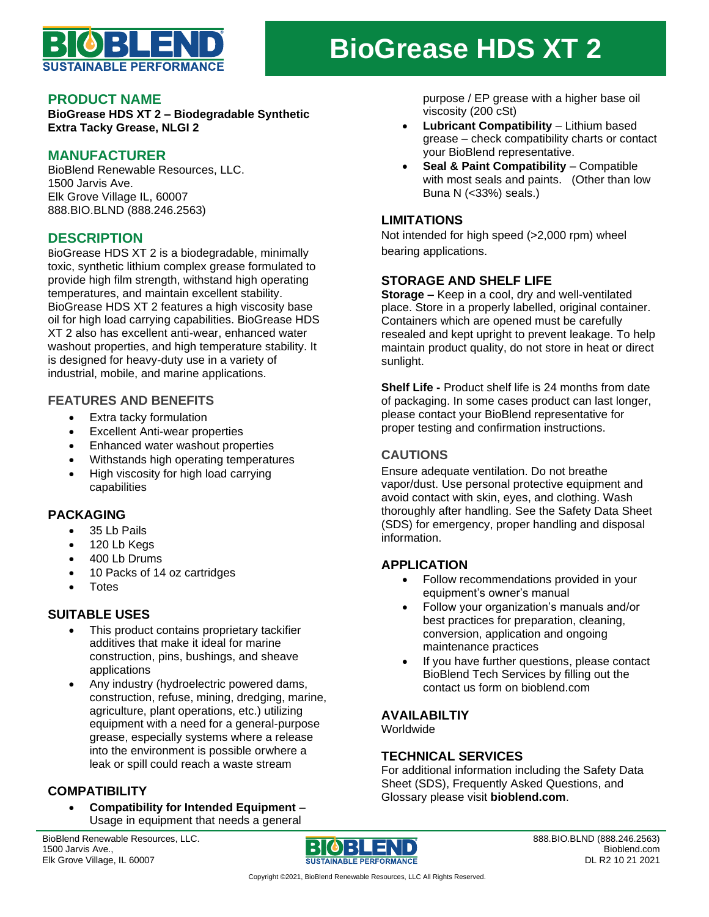

# **BioGrease HDS XT 2**

#### **PRODUCT NAME**

**BioGrease HDS XT 2 – Biodegradable Synthetic Extra Tacky Grease, NLGI 2**

#### **MANUFACTURER**

BioBlend Renewable Resources, LLC. 1500 Jarvis Ave. Elk Grove Village IL, 60007 888.BIO.BLND (888.246.2563)

# **DESCRIPTION**

BioGrease HDS XT 2 is a biodegradable, minimally toxic, synthetic lithium complex grease formulated to provide high film strength, withstand high operating temperatures, and maintain excellent stability. BioGrease HDS XT 2 features a high viscosity base oil for high load carrying capabilities. BioGrease HDS XT 2 also has excellent anti-wear, enhanced water washout properties, and high temperature stability. It is designed for heavy-duty use in a variety of industrial, mobile, and marine applications.

#### **FEATURES AND BENEFITS**

- Extra tacky formulation
- Excellent Anti-wear properties
- Enhanced water washout properties
- Withstands high operating temperatures
- High viscosity for high load carrying capabilities

## **PACKAGING**

- 35 Lb Pails
- 120 Lb Kegs
- 400 Lb Drums
- 10 Packs of 14 oz cartridges
- **Totes**

## **SUITABLE USES**

- This product contains proprietary tackifier additives that make it ideal for marine construction, pins, bushings, and sheave applications
- Any industry (hydroelectric powered dams, construction, refuse, mining, dredging, marine, agriculture, plant operations, etc.) utilizing equipment with a need for a general-purpose grease, especially systems where a release into the environment is possible orwhere a leak or spill could reach a waste stream

# **COMPATIBILITY**

• **Compatibility for Intended Equipment** – Usage in equipment that needs a general

BioBlend Renewable Resources, LLC. 1500 Jarvis Ave., Elk Grove Village, IL 60007



purpose / EP grease with a higher base oil viscosity (200 cSt)

- **Lubricant Compatibility** Lithium based grease – check compatibility charts or contact your BioBlend representative.
- **Seal & Paint Compatibility Compatible** with most seals and paints. (Other than low Buna N (<33%) seals.)

#### **LIMITATIONS**

Not intended for high speed (>2,000 rpm) wheel bearing applications.

## **STORAGE AND SHELF LIFE**

**Storage –** Keep in a cool, dry and well-ventilated place. Store in a properly labelled, original container. Containers which are opened must be carefully resealed and kept upright to prevent leakage. To help maintain product quality, do not store in heat or direct sunlight.

**Shelf Life -** Product shelf life is 24 months from date of packaging. In some cases product can last longer, please contact your BioBlend representative for proper testing and confirmation instructions.

# **CAUTIONS**

Ensure adequate ventilation. Do not breathe vapor/dust. Use personal protective equipment and avoid contact with skin, eyes, and clothing. Wash thoroughly after handling. See the Safety Data Sheet (SDS) for emergency, proper handling and disposal information.

## **APPLICATION**

- Follow recommendations provided in your equipment's owner's manual
- Follow your organization's manuals and/or best practices for preparation, cleaning, conversion, application and ongoing maintenance practices
- If you have further questions, please contact BioBlend Tech Services by filling out the contact us form on bioblend.com

## **AVAILABILTIY**

Worldwide

## **TECHNICAL SERVICES**

For additional information including the Safety Data Sheet (SDS), Frequently Asked Questions, and Glossary please visit **bioblend.com**.